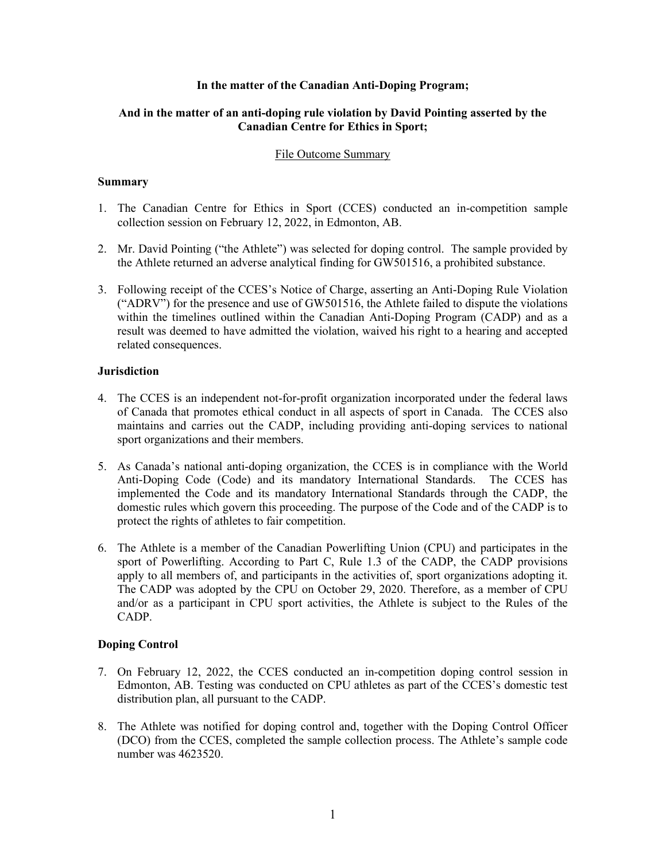## **In the matter of the Canadian Anti-Doping Program;**

# **And in the matter of an anti-doping rule violation by David Pointing asserted by the Canadian Centre for Ethics in Sport;**

### File Outcome Summary

### **Summary**

- 1. The Canadian Centre for Ethics in Sport (CCES) conducted an in-competition sample collection session on February 12, 2022, in Edmonton, AB.
- 2. Mr. David Pointing ("the Athlete") was selected for doping control. The sample provided by the Athlete returned an adverse analytical finding for GW501516, a prohibited substance.
- 3. Following receipt of the CCES's Notice of Charge, asserting an Anti-Doping Rule Violation ("ADRV") for the presence and use of GW501516, the Athlete failed to dispute the violations within the timelines outlined within the Canadian Anti-Doping Program (CADP) and as a result was deemed to have admitted the violation, waived his right to a hearing and accepted related consequences.

# **Jurisdiction**

- 4. The CCES is an independent not-for-profit organization incorporated under the federal laws of Canada that promotes ethical conduct in all aspects of sport in Canada. The CCES also maintains and carries out the CADP, including providing anti-doping services to national sport organizations and their members.
- 5. As Canada's national anti-doping organization, the CCES is in compliance with the World Anti-Doping Code (Code) and its mandatory International Standards. The CCES has implemented the Code and its mandatory International Standards through the CADP, the domestic rules which govern this proceeding. The purpose of the Code and of the CADP is to protect the rights of athletes to fair competition.
- 6. The Athlete is a member of the Canadian Powerlifting Union (CPU) and participates in the sport of Powerlifting. According to Part C, Rule 1.3 of the CADP, the CADP provisions apply to all members of, and participants in the activities of, sport organizations adopting it. The CADP was adopted by the CPU on October 29, 2020. Therefore, as a member of CPU and/or as a participant in CPU sport activities, the Athlete is subject to the Rules of the CADP.

# **Doping Control**

- 7. On February 12, 2022, the CCES conducted an in-competition doping control session in Edmonton, AB. Testing was conducted on CPU athletes as part of the CCES's domestic test distribution plan, all pursuant to the CADP.
- 8. The Athlete was notified for doping control and, together with the Doping Control Officer (DCO) from the CCES, completed the sample collection process. The Athlete's sample code number was 4623520.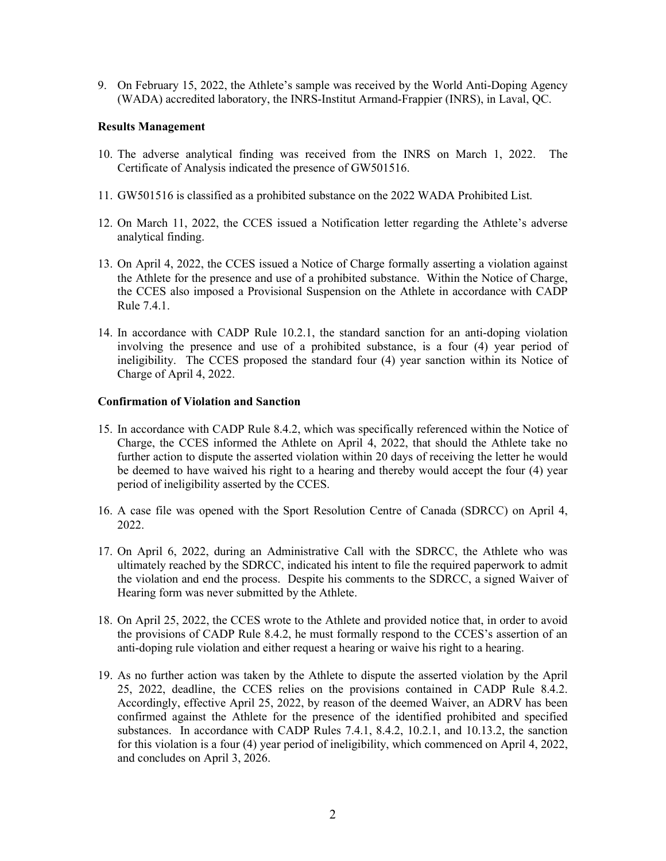9. On February 15, 2022, the Athlete's sample was received by the World Anti-Doping Agency (WADA) accredited laboratory, the INRS-Institut Armand-Frappier (INRS), in Laval, QC.

#### **Results Management**

- 10. The adverse analytical finding was received from the INRS on March 1, 2022. The Certificate of Analysis indicated the presence of GW501516.
- 11. GW501516 is classified as a prohibited substance on the 2022 WADA Prohibited List.
- 12. On March 11, 2022, the CCES issued a Notification letter regarding the Athlete's adverse analytical finding.
- 13. On April 4, 2022, the CCES issued a Notice of Charge formally asserting a violation against the Athlete for the presence and use of a prohibited substance. Within the Notice of Charge, the CCES also imposed a Provisional Suspension on the Athlete in accordance with CADP Rule 7.4.1.
- 14. In accordance with CADP Rule 10.2.1, the standard sanction for an anti-doping violation involving the presence and use of a prohibited substance, is a four (4) year period of ineligibility. The CCES proposed the standard four (4) year sanction within its Notice of Charge of April 4, 2022.

### **Confirmation of Violation and Sanction**

- 15. In accordance with CADP Rule 8.4.2, which was specifically referenced within the Notice of Charge, the CCES informed the Athlete on April 4, 2022, that should the Athlete take no further action to dispute the asserted violation within 20 days of receiving the letter he would be deemed to have waived his right to a hearing and thereby would accept the four (4) year period of ineligibility asserted by the CCES.
- 16. A case file was opened with the Sport Resolution Centre of Canada (SDRCC) on April 4, 2022.
- 17. On April 6, 2022, during an Administrative Call with the SDRCC, the Athlete who was ultimately reached by the SDRCC, indicated his intent to file the required paperwork to admit the violation and end the process. Despite his comments to the SDRCC, a signed Waiver of Hearing form was never submitted by the Athlete.
- 18. On April 25, 2022, the CCES wrote to the Athlete and provided notice that, in order to avoid the provisions of CADP Rule 8.4.2, he must formally respond to the CCES's assertion of an anti-doping rule violation and either request a hearing or waive his right to a hearing.
- 19. As no further action was taken by the Athlete to dispute the asserted violation by the April 25, 2022, deadline, the CCES relies on the provisions contained in CADP Rule 8.4.2. Accordingly, effective April 25, 2022, by reason of the deemed Waiver, an ADRV has been confirmed against the Athlete for the presence of the identified prohibited and specified substances. In accordance with CADP Rules 7.4.1, 8.4.2, 10.2.1, and 10.13.2, the sanction for this violation is a four (4) year period of ineligibility, which commenced on April 4, 2022, and concludes on April 3, 2026.